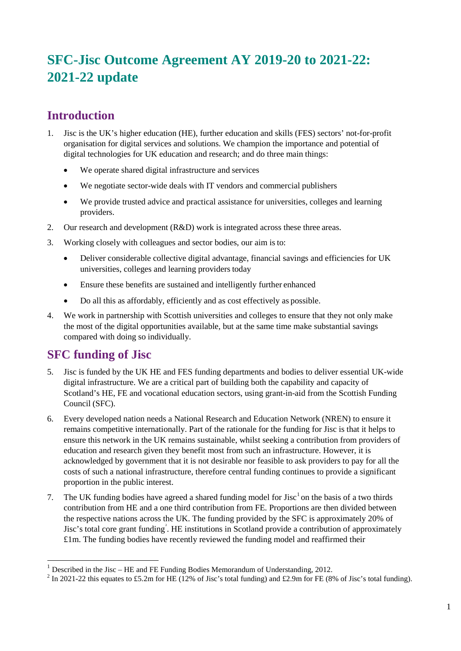# **SFC-Jisc Outcome Agreement AY 2019-20 to 2021-22: 2021-22 update**

## **Introduction**

- 1. Jisc is the UK's higher education (HE), further education and skills (FES) sectors' not-for-profit organisation for digital services and solutions. We champion the importance and potential of digital technologies for UK education and research; and do three main things:
	- We operate shared digital infrastructure and services
	- We negotiate sector-wide deals with IT vendors and commercial publishers
	- We provide trusted advice and practical assistance for universities, colleges and learning providers.
- 2. Our research and development (R&D) work is integrated across these three areas.
- 3. Working closely with colleagues and sector bodies, our aim isto:
	- Deliver considerable collective digital advantage, financial savings and efficiencies for UK universities, colleges and learning providers today
	- Ensure these benefits are sustained and intelligently further enhanced
	- Do all this as affordably, efficiently and as cost effectively as possible.
- 4. We work in partnership with Scottish universities and colleges to ensure that they not only make the most of the digital opportunities available, but at the same time make substantial savings compared with doing so individually.

## **SFC funding of Jisc**

- 5. Jisc is funded by the UK HE and FES funding departments and bodies to deliver essential UK-wide digital infrastructure. We are a critical part of building both the capability and capacity of Scotland's HE, FE and vocational education sectors, using grant-in-aid from the Scottish Funding Council (SFC).
- 6. Every developed nation needs a National Research and Education Network (NREN) to ensure it remains competitive internationally. Part of the rationale for the funding for Jisc is that it helps to ensure this network in the UK remains sustainable, whilst seeking a contribution from providers of education and research given they benefit most from such an infrastructure. However, it is acknowledged by government that it is not desirable nor feasible to ask providers to pay for all the costs of such a national infrastructure, therefore central funding continues to provide a significant proportion in the public interest.
- 7. The UK funding bodies have agreed a shared funding model for Jisc<sup>[1](#page-0-0)</sup> on the basis of a two thirds contribution from HE and a one third contribution from FE. Proportions are then divided between the respective nations across the UK. The funding provided by the SFC is approximately 20% of Jisc's total core grant funding<sup>[2](#page-0-1)</sup>. HE institutions in Scotland provide a contribution of approximately £1m. The funding bodies have recently reviewed the funding model and reaffirmed their

<span id="page-0-1"></span><span id="page-0-0"></span><sup>&</sup>lt;sup>1</sup> Described in the Jisc – HE and FE Funding Bodies Memorandum of Understanding, 2012.<br><sup>2</sup> In 2021-22 this equates to £5.2m for HE (12% of Jisc's total funding) and £2.9m for FE (8% of Jisc's total funding).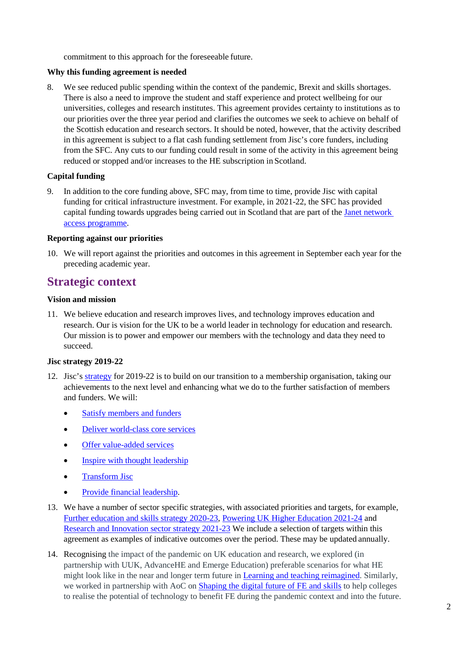commitment to this approach for the foreseeable future.

#### **Why this funding agreement is needed**

8. We see reduced public spending within the context of the pandemic, Brexit and skills shortages. There is also a need to improve the student and staff experience and protect wellbeing for our universities, colleges and research institutes. This agreement provides certainty to institutions as to our priorities over the three year period and clarifies the outcomes we seek to achieve on behalf of the Scottish education and research sectors. It should be noted, however, that the activity described in this agreement is subject to a flat cash funding settlement from Jisc's core funders, including from the SFC. Any cuts to our funding could result in some of the activity in this agreement being reduced or stopped and/or increases to the HE subscription in Scotland.

#### **Capital funding**

9. In addition to the core funding above, SFC may, from time to time, provide Jisc with capital funding for critical infrastructure investment. For example, in 2021-22, the SFC has provided capital funding towards upgrades being carried out in Scotland that are part of the [Janet network](https://www.jisc.ac.uk/news/further-and-faster-catching-up-with-the-janet-access-programme-02-jun-2020)  [access programme.](https://www.jisc.ac.uk/news/further-and-faster-catching-up-with-the-janet-access-programme-02-jun-2020)

#### **Reporting against our priorities**

10. We will report against the priorities and outcomes in this agreement in September each year for the preceding academic year.

## **Strategic context**

#### **Vision and mission**

11. We believe education and research improves lives, and technology improves education and research. Our is vision for the UK to be a world leader in technology for education and research. Our mission is to power and empower our members with the technology and data they need to succeed.

#### **Jisc strategy 2019-22**

- 12. Jisc's [strategy](https://www.jisc.ac.uk/reports/strategy-2019-2022) for 2019-22 is to build on our transition to a membership organisation, taking our achievements to the next level and enhancing what we do to the further satisfaction of members and funders. We will:
	- [Satisfy members and](https://www.jisc.ac.uk/reports/strategy-2019-2022#satisfying) funders
	- [Deliver world-class core services](https://www.jisc.ac.uk/reports/strategy-2019-2022#services)
	- [Offer value-added services](https://www.jisc.ac.uk/reports/strategy-2019-2022#value-added)
	- [Inspire with thought leadership](https://www.jisc.ac.uk/reports/strategy-2019-2022#thought-leadership)
	- [Transform Jisc](https://www.jisc.ac.uk/reports/strategy-2019-2022#transform)
	- [Provide financial leadership.](https://www.jisc.ac.uk/reports/strategy-2019-2022#financial)
- 13. We have a number of sector specific strategies, with associated priorities and targets, for example, [Further education and skills strategy 2020-23,](https://www.jisc.ac.uk/reports/jisc-further-education-and-skills-strategy-2020-2023) [Powering UK Higher Education 2021-24](https://www.jisc.ac.uk/reports/higher-education-strategy-2021-2024) and [Research and Innovation sector strategy 2021-23](https://www.jisc.ac.uk/reports/research-and-innovation-sector-strategy-2021-2023) We include a selection of targets within this agreement as examples of indicative outcomes over the period. These may be updated annually.
- 14. Recognising the impact of the pandemic on UK education and research, we explored (in partnership with UUK, AdvanceHE and Emerge Education) preferable scenarios for what HE might look like in the near and longer term future in [Learning and teaching reimagined.](https://www.jisc.ac.uk/learning-and-teaching-reimagined) Similarly, we worked in partnership with AoC on **Shaping the digital future of FE and skills** to help colleges to realise the potential of technology to benefit FE during the pandemic context and into the future.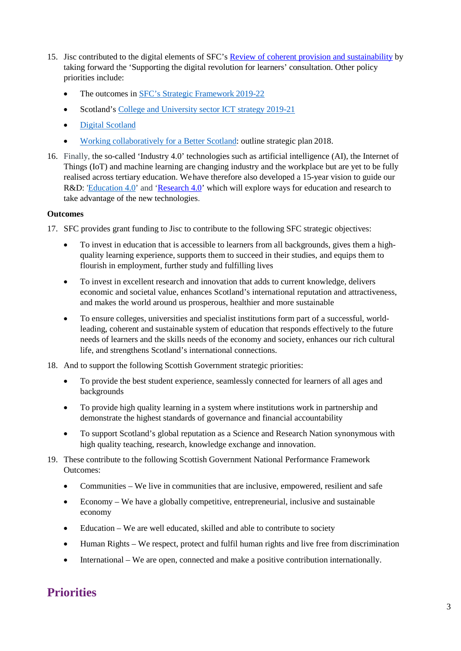- 15. Jisc contributed to the digital elements of SFC's [Review of coherent provision and sustainability](http://www.sfc.ac.uk/review/review.aspx) by taking forward the 'Supporting the digital revolution for learners' consultation. Other policy priorities include:
	- The outcomes i[n SFC's Strategic Framework](http://www.sfc.ac.uk/web/FILES/StrategicFramework/Scottish_Funding_Council_Strategic_Framework_2019-2022.pdf) 2019-22
	- Scotland's [College and University sector ICT strategy](http://www.sfc.ac.uk/web/FILES/Quality/Further_and_Higher_Education_ICT_Strategy.pdf) 2019-21
	- [Digital Scotland](https://www.gov.scot/publications/realising-scotlands-full-potential-digital-world-digital-strategy-scotland/)
	- [Working collaboratively for a Better Scotland:](https://www.gov.scot/binaries/content/documents/govscot/publications/corporate-report/2018/06/enterprise-and-skills-strategic-board-outline-plan/documents/13799bff-2639-4557-97e7-3568dd1b0f78/13799bff-2639-4557-97e7-3568dd1b0f78/govscot%3Adocument) outline strategic plan 2018.
- 16. Finally, the so-called 'Industry 4.0' technologies such as artificial intelligence (AI), the Internet of Things (IoT) and machine learning are changing industry and the workplace but are yet to be fully realised across tertiary education. Wehave therefore also developed a 15-year vision to guide our R&D: ['Education 4.0'](https://www.jisc.ac.uk/blog/the-potential-of-education-4-is-huge-the-uk-must-take-the-lead-now-12-sep-2018) and ['Research 4.0'](https://www.jisc.ac.uk/research) which will explore ways for education and research to take advantage of the new technologies.

#### **Outcomes**

- 17. SFC provides grant funding to Jisc to contribute to the following SFC strategic objectives:
	- To invest in education that is accessible to learners from all backgrounds, gives them a highquality learning experience, supports them to succeed in their studies, and equips them to flourish in employment, further study and fulfilling lives
	- To invest in excellent research and innovation that adds to current knowledge, delivers economic and societal value, enhances Scotland's international reputation and attractiveness, and makes the world around us prosperous, healthier and more sustainable
	- To ensure colleges, universities and specialist institutions form part of a successful, worldleading, coherent and sustainable system of education that responds effectively to the future needs of learners and the skills needs of the economy and society, enhances our rich cultural life, and strengthens Scotland's international connections.
- 18. And to support the following Scottish Government strategic priorities:
	- To provide the best student experience, seamlessly connected for learners of all ages and backgrounds
	- To provide high quality learning in a system where institutions work in partnership and demonstrate the highest standards of governance and financial accountability
	- To support Scotland's global reputation as a Science and Research Nation synonymous with high quality teaching, research, knowledge exchange and innovation.
- 19. These contribute to the following Scottish Government National Performance Framework Outcomes:
	- Communities We live in communities that are inclusive, empowered, resilient and safe
	- Economy We have a globally competitive, entrepreneurial, inclusive and sustainable economy
	- Education We are well educated, skilled and able to contribute to society
	- Human Rights We respect, protect and fulfil human rights and live free from discrimination
	- International We are open, connected and make a positive contribution internationally.

## **Priorities**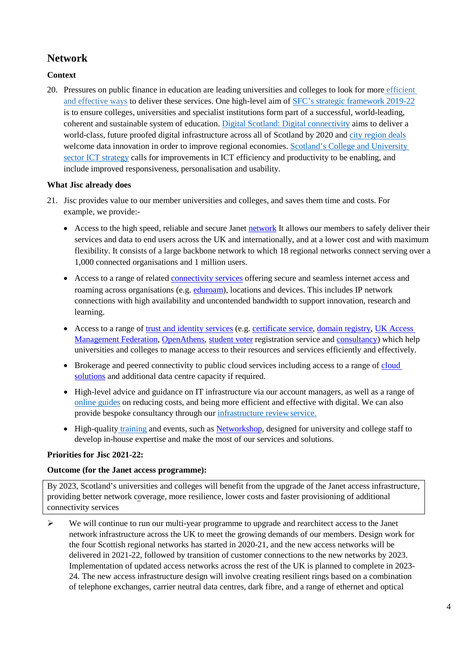## **Network**

#### **Context**

20. Pressures on public finance in education are leading universities and colleges to look for more [efficient](https://www.universitiesuk.ac.uk/policy-and-analysis/reports/Documents/2013/funding-challenge-for-universities.pdf)  [and effective ways](https://www.universitiesuk.ac.uk/policy-and-analysis/reports/Documents/2013/funding-challenge-for-universities.pdf) to deliver these services. One high-level aim of [SFC's strategic framework](http://www.sfc.ac.uk/web/FILES/StrategicFramework/Scottish_Funding_Council_Strategic_Framework_2019-2022.pdf) [2019-22](http://www.sfc.ac.uk/web/FILES/StrategicFramework/Scottish_Funding_Council_Strategic_Framework_2019-2022.pdf) is to ensure colleges, universities and specialist institutions form part of a successful, world-leading, coherent and sustainable system of education. [Digital Scotland: Digital](https://www.gov.scot/publications/scotlands-digital-future-infrastructure-action-plan/) [connectivity](https://www.gov.scot/publications/scotlands-digital-future-infrastructure-action-plan/) aims to deliver a world-class, future proofed digital infrastructure across all of Scotland by 2020 and [city region deals](https://www.gov.scot/policies/cities-regions/city-region-deals/) welcome data innovation in order to improve regional economies. Scotland's College and University [sector ICT strategy](http://www.sfc.ac.uk/web/FILES/Quality/Further_and_Higher_Education_ICT_Strategy.pdf) calls for improvements in ICT efficiency and productivity to be enabling, and include improved responsiveness, personalisation and usability.

#### **What Jisc already does**

- 21. Jisc provides value to our member universities and colleges, and saves them time and costs. For example, we provide:
	- Access to the high speed, reliable and secure Janet [network](https://www.jisc.ac.uk/janet) It allows our members to safely deliver their services and data to end users across the UK and internationally, and at a lower cost and with maximum flexibility. It consists of a large backbone network to which 18 regional networks connect serving over a 1,000 connected organisations and 1 million users.
	- Access to a range of related [connectivity services](https://www.jisc.ac.uk/connectivity) offering secure and seamless internet access and roaming across organisations (e.g. [eduroam\)](https://www.jisc.ac.uk/eduroam), locations and devices. This includes IP network connections with high availability and uncontended bandwidth to support innovation, research and learning.
	- Access to a range of [trust and identity services](https://www.jisc.ac.uk/trust-and-identity) (e.g. [certificate service,](https://www.jisc.ac.uk/certificate-service) [domain registry,](https://www.jisc.ac.uk/domain-registry) UK Access [Management Federation,](https://www.jisc.ac.uk/uk-federation) [OpenAthens,](https://www.jisc.ac.uk/openathens) [student voter](https://www.jisc.ac.uk/student-voter-registration) registration service and [consultancy\)](https://www.jisc.ac.uk/consultancy/trust-and-identity) which help universities and colleges to manage access to their resources and services efficiently and effectively.
	- Brokerage and peered connectivity to public [cloud](https://www.jisc.ac.uk/cloud) services including access to a range of cloud [solutions](https://www.jisc.ac.uk/cloud) and additional data centre capacity if required.
	- High-level advice and guidance on IT infrastructure via our account managers, as well as a range of [online guides](https://www.jisc.ac.uk/guides) on reducing costs, and being more efficient and effective with digital. We can also provide bespoke consultancy through our [infrastructure review](https://www.jisc.ac.uk/consultancy/infrastructure-review) service.
	- High-quality [training](https://www.jisc.ac.uk/training) and events, such as [Networkshop,](https://www.jisc.ac.uk/networkshop) designed for university and college staff to develop in-house expertise and make the most of our services and solutions.

#### **Priorities for Jisc 2021-22:**

#### **Outcome (for the Janet access programme):**

By 2023, Scotland's universities and colleges will benefit from the upgrade of the Janet access infrastructure, providing better network coverage, more resilience, lower costs and faster provisioning of additional connectivity services

 $\triangleright$  We will continue to run our multi-year programme to upgrade and rearchitect access to the Janet network infrastructure across the UK to meet the growing demands of our members. Design work for the four Scottish regional networks has started in 2020-21, and the new access networks will be delivered in 2021-22, followed by transition of customer connections to the new networks by 2023. Implementation of updated access networks across the rest of the UK is planned to complete in 2023- 24. The new access infrastructure design will involve creating resilient rings based on a combination of telephone exchanges, carrier neutral data centres, dark fibre, and a range of ethernet and optical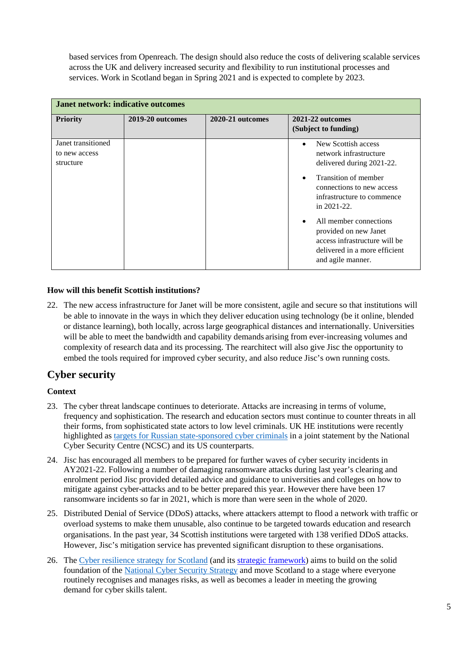based services from Openreach. The design should also reduce the costs of delivering scalable services across the UK and delivery increased security and flexibility to run institutional processes and services. Work in Scotland began in Spring 2021 and is expected to complete by 2023.

| <b>Janet network: indicative outcomes</b>        |                  |                  |                                                                                                                                                                                                             |
|--------------------------------------------------|------------------|------------------|-------------------------------------------------------------------------------------------------------------------------------------------------------------------------------------------------------------|
| <b>Priority</b>                                  | 2019-20 outcomes | 2020-21 outcomes | 2021-22 outcomes<br>(Subject to funding)                                                                                                                                                                    |
| Janet transitioned<br>to new access<br>structure |                  |                  | New Scottish access<br>$\bullet$<br>network infrastructure<br>delivered during 2021-22.<br>Transition of member<br>$\bullet$<br>connections to new access<br>infrastructure to commence<br>in $2021 - 22$ . |
|                                                  |                  |                  | All member connections<br>$\bullet$<br>provided on new Janet<br>access infrastructure will be<br>delivered in a more efficient<br>and agile manner.                                                         |

#### **How will this benefit Scottish institutions?**

22. The new access infrastructure for Janet will be more consistent, agile and secure so that institutions will be able to innovate in the ways in which they deliver education using technology (be it online, blended or distance learning), both locally, across large geographical distances and internationally. Universities will be able to meet the bandwidth and capability demands arising from ever-increasing volumes and complexity of research data and its processing. The rearchitect will also give Jisc the opportunity to embed the tools required for improved cyber security, and also reduce Jisc's own running costs.

### **Cyber security**

#### **Context**

- 23. The cyber threat landscape continues to deteriorate. Attacks are increasing in terms of volume, frequency and sophistication. The research and education sectors must continue to counter threats in all their forms, from sophisticated state actors to low level criminals. UK HE institutions were recently highlighted as [targets for Russian state-sponsored cyber criminals](https://www.jisc.ac.uk/blog/universities-alerted-to-cyber-threat-from-russia-06-jul-2021) in a joint statement by the National Cyber Security Centre (NCSC) and its US counterparts.
- 24. Jisc has encouraged all members to be prepared for further waves of cyber security incidents in AY2021-22. Following a number of damaging ransomware attacks during last year's clearing and enrolment period Jisc provided detailed advice and guidance to universities and colleges on how to mitigate against cyber-attacks and to be better prepared this year. However there have been 17 ransomware incidents so far in 2021, which is more than were seen in the whole of 2020.
- 25. Distributed Denial of Service (DDoS) attacks, where attackers attempt to flood a network with traffic or overload systems to make them unusable, also continue to be targeted towards education and research organisations. In the past year, 34 Scottish institutions were targeted with 138 verified DDoS attacks. However, Jisc's mitigation service has prevented significant disruption to these organisations.
- 26. The [Cyber resilience strategy for Scotland](https://www.gov.scot/publications/safe-secure-prosperous-cyber-resilience-strategy-scotland/) (and its [strategic framework\)](https://www.gov.scot/publications/strategic-framework-cyber-resilient-scotland/) aims to build on the solid foundation of the [National](https://assets.publishing.service.gov.uk/government/uploads/system/uploads/attachment_data/file/567242/national_cyber_security_strategy_2016.pdf) [Cyber Security Strategy](https://assets.publishing.service.gov.uk/government/uploads/system/uploads/attachment_data/file/567242/national_cyber_security_strategy_2016.pdf) and move Scotland to a stage where everyone routinely recognises and manages risks, as well as becomes a leader in meeting the growing demand for cyber skills talent.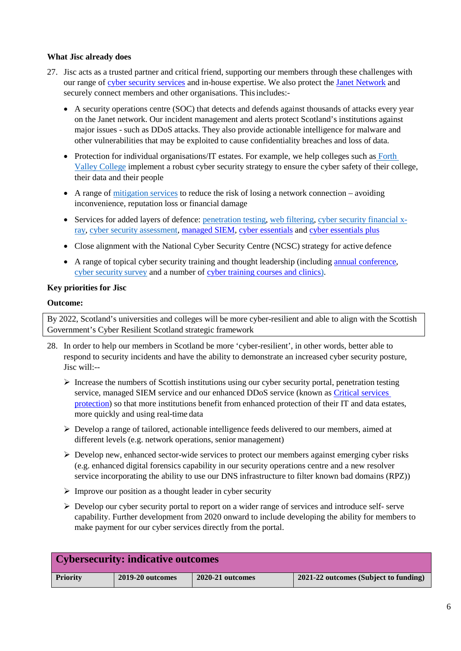#### **What Jisc already does**

- 27. Jisc acts as a trusted partner and critical friend, supporting our members through these challenges with our range of [cyber security services](https://www.jisc.ac.uk/cyber-security) and in-house expertise. We also protect the [Janet Network](https://www.jisc.ac.uk/janet) and securely connect members and other organisations. This includes:-
	- A security operations centre (SOC) that detects and defends against thousands of attacks every year on the Janet network. Our incident management and alerts protect Scotland's institutions against major issues - such as DDoS attacks. They also provide actionable intelligence for malware and other vulnerabilities that may be exploited to cause confidentiality breaches and loss of data.
	- Protection for individual organisations/IT estates. For example, we help colleges such as Forth [Valley College](https://www.jisc.ac.uk/blog/a-robust-cyber-security-strategy-is-one-the-top-priorities-for-my-college-30-may-2018) implement a robust cyber security strategy to ensure the cyber safety of their college, their data and their people
	- A range of [mitigation services](https://www.jisc.ac.uk/ddos-mitigation) to reduce the risk of losing a network connection avoiding inconvenience, reputation loss or financial damage
	- Services for added layers of defence: [penetration testing,](https://www.jisc.ac.uk/penetration-testing) [web filtering,](https://www.jisc.ac.uk/penetration-testing) [cyber security](https://www.jisc.ac.uk/cyber-security-financial-x-ray) [financial x](https://www.jisc.ac.uk/cyber-security-financial-x-ray)[ray,](https://www.jisc.ac.uk/cyber-security-financial-x-ray) [cyber security](https://www.jisc.ac.uk/cyber-security-assessment) assessment[, managed SIEM,](https://www.jisc.ac.uk/managed-siem) [cyber essentials](https://www.jisc.ac.uk/cyber-essentials) an[d cyber essentials plus](https://www.jisc.ac.uk/cyber-essentials)
	- Close alignment with the National Cyber Security Centre (NCSC) strategy for active defence
	- A range of topical cyber security training and thought leadership (including [annual conference](https://www.jisc.ac.uk/events/jisc-security-conference-2020-03-nov-2020/about)[,](https://community.jisc.ac.uk/system/files/288/Cybersecurity_Posture_Survey_2018_Research_Findings_0.pdf) [cyber security](https://community.jisc.ac.uk/system/files/288/Cybersecurity_Posture_Survey_2018_Research_Findings_0.pdf) survey and a number of [cyber training courses and clinics\)](https://www.jisc.ac.uk/training).

#### **Key priorities for Jisc**

#### **Outcome:**

By 2022, Scotland's universities and colleges will be more cyber-resilient and able to align with the Scottish Government's Cyber Resilient Scotland strategic framework

- 28. In order to help our members in Scotland be more 'cyber-resilient', in other words, better able to respond to security incidents and have the ability to demonstrate an increased cyber security posture, Jisc will:--
	- $\triangleright$  Increase the numbers of Scottish institutions using our cyber security portal, penetration testing service, managed SIEM service and our enhanced DDoS service (known as Critical services [protection\)](https://www.jisc.ac.uk/critical-services-protection) so that more institutions benefit from enhanced protection of their IT and data estates, more quickly and using real-time data
	- $\triangleright$  Develop a range of tailored, actionable intelligence feeds delivered to our members, aimed at different levels (e.g. network operations, senior management)
	- $\triangleright$  Develop new, enhanced sector-wide services to protect our members against emerging cyber risks (e.g. enhanced digital forensics capability in our security operations centre and a new resolver service incorporating the ability to use our DNS infrastructure to filter known bad domains (RPZ))
	- $\triangleright$  Improve our position as a thought leader in cyber security
	- $\triangleright$  Develop our cyber security portal to report on a wider range of services and introduce self- serve capability. Further development from 2020 onward to include developing the ability for members to make payment for our cyber services directly from the portal.

| <b>Cybersecurity: indicative outcomes</b> |                  |                  |                                       |  |
|-------------------------------------------|------------------|------------------|---------------------------------------|--|
| <b>Priority</b>                           | 2019-20 outcomes | 2020-21 outcomes | 2021-22 outcomes (Subject to funding) |  |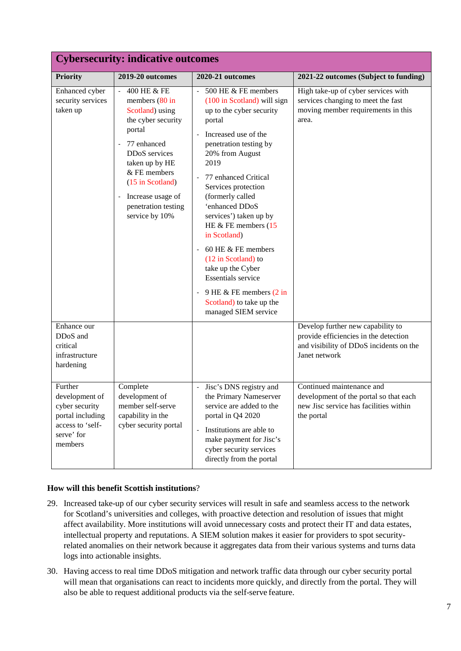| <b>Cybersecurity: indicative outcomes</b>                                                                    |                                                                                                                                                                                                                                                                              |                                                                                                                                                                                                                                                                                                                                                                                                                                                                                                                               |                                                                                                                                        |  |
|--------------------------------------------------------------------------------------------------------------|------------------------------------------------------------------------------------------------------------------------------------------------------------------------------------------------------------------------------------------------------------------------------|-------------------------------------------------------------------------------------------------------------------------------------------------------------------------------------------------------------------------------------------------------------------------------------------------------------------------------------------------------------------------------------------------------------------------------------------------------------------------------------------------------------------------------|----------------------------------------------------------------------------------------------------------------------------------------|--|
| <b>Priority</b>                                                                                              | 2019-20 outcomes                                                                                                                                                                                                                                                             | 2020-21 outcomes                                                                                                                                                                                                                                                                                                                                                                                                                                                                                                              | 2021-22 outcomes (Subject to funding)                                                                                                  |  |
| Enhanced cyber<br>security services<br>taken up                                                              | 400 HE & FE<br>members $(80 \text{ in}$<br>Scotland) using<br>the cyber security<br>portal<br>77 enhanced<br>DDoS services<br>taken up by HE<br>$&$ FE members<br>(15 in Scotland)<br>Increase usage of<br>$\overline{\phantom{a}}$<br>penetration testing<br>service by 10% | $-500$ HE $&$ FE members<br>(100 in Scotland) will sign<br>up to the cyber security<br>portal<br>Increased use of the<br>penetration testing by<br>20% from August<br>2019<br>77 enhanced Critical<br>Services protection<br>(formerly called<br>'enhanced DDoS<br>services') taken up by<br>HE $&$ FE members (15<br>in Scotland)<br>60 HE $&$ FE members<br>(12 in Scotland) to<br>take up the Cyber<br><b>Essentials</b> service<br>9 HE & FE members $(2 \text{ in})$<br>Scotland) to take up the<br>managed SIEM service | High take-up of cyber services with<br>services changing to meet the fast<br>moving member requirements in this<br>area.               |  |
| Enhance our<br>DDoS and<br>critical<br>infrastructure<br>hardening                                           |                                                                                                                                                                                                                                                                              |                                                                                                                                                                                                                                                                                                                                                                                                                                                                                                                               | Develop further new capability to<br>provide efficiencies in the detection<br>and visibility of DDoS incidents on the<br>Janet network |  |
| Further<br>development of<br>cyber security<br>portal including<br>access to 'self-<br>serve' for<br>members | Complete<br>development of<br>member self-serve<br>capability in the<br>cyber security portal                                                                                                                                                                                | Jisc's DNS registry and<br>$\blacksquare$<br>the Primary Nameserver<br>service are added to the<br>portal in Q4 2020<br>- Institutions are able to<br>make payment for Jisc's<br>cyber security services<br>directly from the portal                                                                                                                                                                                                                                                                                          | Continued maintenance and<br>development of the portal so that each<br>new Jisc service has facilities within<br>the portal            |  |

#### **How will this benefit Scottish institutions**?

- 29. Increased take-up of our cyber security services will result in safe and seamless access to the network for Scotland's universities and colleges, with proactive detection and resolution of issues that might affect availability. More institutions will avoid unnecessary costs and protect their IT and data estates, intellectual property and reputations. A SIEM solution makes it easier for providers to spot securityrelated anomalies on their network because it aggregates data from their various systems and turns data logs into actionable insights.
- 30. Having access to real time DDoS mitigation and network traffic data through our cyber security portal will mean that organisations can react to incidents more quickly, and directly from the portal. They will also be able to request additional products via the self-serve feature.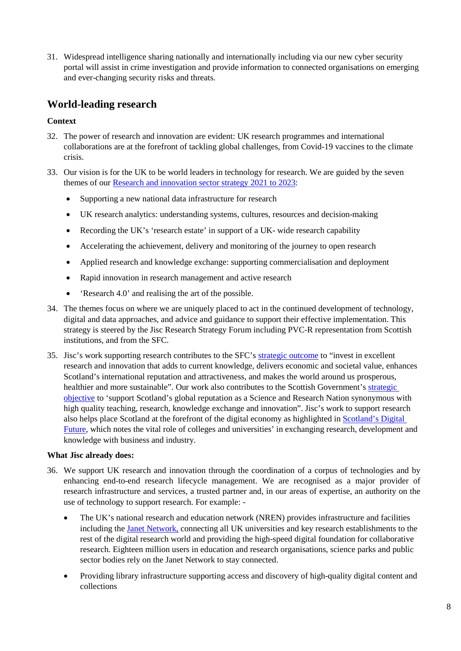31. Widespread intelligence sharing nationally and internationally including via our new cyber security portal will assist in crime investigation and provide information to connected organisations on emerging and ever-changing security risks and threats.

### **World-leading research**

#### **Context**

- 32. The power of research and innovation are evident: UK research programmes and international collaborations are at the forefront of tackling global challenges, from Covid-19 vaccines to the climate crisis.
- 33. Our vision is for the UK to be world leaders in technology for research. We are guided by the seven themes of our [Research and innovation sector strategy 2021 to 2023:](https://www.jisc.ac.uk/reports/research-and-innovation-sector-strategy-2021-2023)
	- Supporting a new national data infrastructure for research
	- UK research analytics: understanding systems, cultures, resources and decision-making
	- Recording the UK's 'research estate' in support of a UK- wide research capability
	- Accelerating the achievement, delivery and monitoring of the journey to open research
	- Applied research and knowledge exchange: supporting commercialisation and deployment
	- Rapid innovation in research management and active research
	- 'Research 4.0' and realising the art of the possible.
- 34. The themes focus on where we are uniquely placed to act in the continued development of technology, digital and data approaches, and advice and guidance to support their effective implementation. This strategy is steered by the Jisc Research Strategy Forum including PVC-R representation from Scottish institutions, and from the SFC.
- 35. Jisc's work supporting research contributes to the SFC's [strategic outcome](http://www.sfc.ac.uk/web/FILES/StrategicFramework/Scottish_Funding_Council_Strategic_Framework_2019-2022_Summary_Document.pdf) to "invest in excellent research and innovation that adds to current knowledge, delivers economic and societal value, enhances Scotland's international reputation and attractiveness, and makes the world around us prosperous, healthier and more sustainable". Our work also contributes to the Scottish Government's [strategic](http://www.sfc.ac.uk/web/FILES/Review/coherence-and-sustainability_summary.pdf)  [objective](http://www.sfc.ac.uk/web/FILES/Review/coherence-and-sustainability_summary.pdf) to 'support Scotland's global reputation as a Science and Research Nation synonymous with high quality teaching, research, knowledge exchange and innovation". Jisc's work to support research also helps place Scotland at the forefront of the digital economy as highlighted in [Scotland's Digital](https://www.gov.scot/publications/scotlands-digital-future-strategy-scotland/pages/3/)  [Future,](https://www.gov.scot/publications/scotlands-digital-future-strategy-scotland/pages/3/) which notes the vital role of colleges and universities' in exchanging research, development and knowledge with business and industry.

#### **What Jisc already does:**

- 36. We support UK research and innovation through the coordination of a corpus of technologies and by enhancing end-to-end research lifecycle management. We are recognised as a major provider of research infrastructure and services, a trusted partner and, in our areas of expertise, an authority on the use of technology to support research. For example: -
	- The UK's national research and education network (NREN) provides infrastructure and facilities including the [Janet Network,](https://www.jisc.ac.uk/janet) connecting all UK universities and key research establishments to the rest of the digital research world and providing the high-speed digital foundation for collaborative research. Eighteen million users in education and research organisations, science parks and public sector bodies rely on the Janet Network to stay connected.
	- Providing library infrastructure supporting access and discovery of high-quality digital content and collections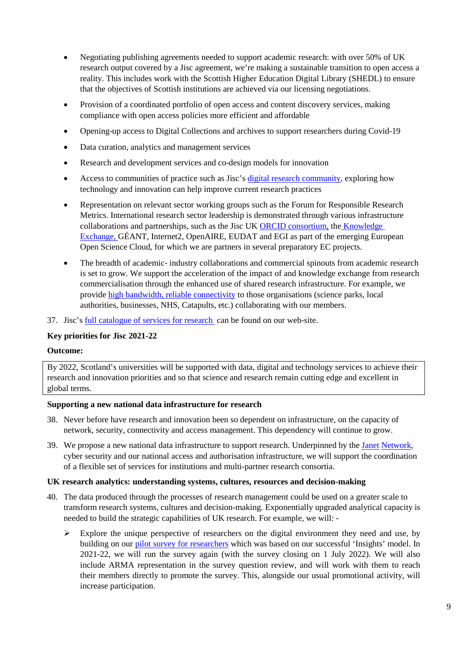- Negotiating publishing agreements needed to support academic research: with over 50% of UK research output covered by a Jisc agreement, we're making a sustainable transition to open access a reality. This includes work with the Scottish Higher Education Digital Library (SHEDL) to ensure that the objectives of Scottish institutions are achieved via our licensing negotiations.
- Provision of a coordinated portfolio of open access and content discovery services, making compliance with open access policies more efficient and affordable
- Opening-up access to Digital Collections and archives to support researchers during Covid-19
- Data curation, analytics and management services
- Research and development services and co-design models for innovation
- Access to communities of practice such as Jisc's [digital research community,](https://jisc365-my.sharepoint.com/personal/laura_pachkowski_jisc_ac_uk/Documents/jisc.ac.uk/get-involved/digital-research-%20community-group) exploring how technology and innovation can help improve current research practices
- Representation on relevant sector working groups such as the Forum for Responsible Research Metrics. International research sector leadership is demonstrated through various infrastructure collaborations and partnerships, such as the Jisc UK [ORCID consortium,](https://www.jisc.ac.uk/orcid) the [Knowledge](http://www.knowledge-exchange.info/)  [Exchange, G](http://www.knowledge-exchange.info/)ÉANT, Internet2, OpenAIRE, EUDAT and EGI as part of the emerging European Open Science Cloud, for which we are partners in several preparatory EC projects.
- The breadth of academic- industry collaborations and commercial spinouts from academic research is set to grow. We support the acceleration of the impact of and knowledge exchange from research commercialisation through the enhanced use of shared research infrastructure. For example, we provide [high bandwidth, reliable connectivity](https://www.jisc.ac.uk/customers) to those organisations (science parks, local authorities, businesses, NHS, Catapults, etc.) collaborating with our members.
- 37. Jisc's [full catalogue of services for research](https://www.jisc.ac.uk/membership/our-catalogue-of-services-for-research) can be found on our web-site.

#### **Key priorities for Jisc 2021-22**

#### **Outcome:**

By 2022, Scotland's universities will be supported with data, digital and technology services to achieve their research and innovation priorities and so that science and research remain cutting edge and excellent in global terms.

#### **Supporting a new national data infrastructure for research**

- 38. Never before have research and innovation been so dependent on infrastructure, on the capacity of network, security, connectivity and access management. This dependency will continue to grow.
- 39. We propose a new national data infrastructure to support research. Underpinned by the [Janet](https://www.jisc.ac.uk/janet) [Network,](https://www.jisc.ac.uk/janet) cyber security and our national access and authorisation infrastructure, we will support the coordination of a flexible set of services for institutions and multi-partner research consortia.

#### **UK research analytics: understanding systems, cultures, resources and decision-making**

- 40. The data produced through the processes of research management could be used on a greater scale to transform research systems, cultures and decision-making. Exponentially upgraded analytical capacity is needed to build the strategic capabilities of UK research. For example, we will: -
	- $\triangleright$  Explore the unique perspective of researchers on the digital environment they need and use, by building on our [pilot survey for researchers](https://digitalinsights.jisc.ac.uk/our-service/our-surveys/) which was based on our successful 'Insights' model. In 2021-22, we will run the survey again (with the survey closing on 1 July 2022). We will also include ARMA representation in the survey question review, and will work with them to reach their members directly to promote the survey. This, alongside our usual promotional activity, will increase participation.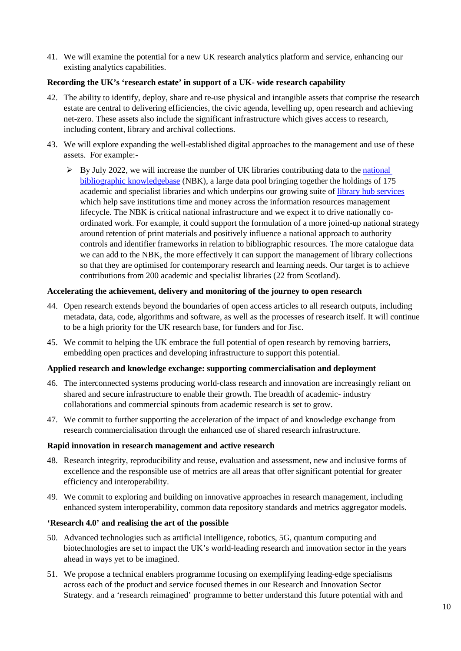41. We will examine the potential for a new UK research analytics platform and service, enhancing our existing analytics capabilities.

#### **Recording the UK's 'research estate' in support of a UK- wide research capability**

- 42. The ability to identify, deploy, share and re-use physical and intangible assets that comprise the research estate are central to delivering efficiencies, the civic agenda, levelling up, open research and achieving net-zero. These assets also include the significant infrastructure which gives access to research, including content, library and archival collections.
- 43. We will explore expanding the well-established digital approaches to the management and use of these assets. For example:-
	- $\triangleright$  By July 2022, we will increase the number of UK libraries contributing data to the national [bibliographic knowledgebase](https://www.jisc.ac.uk/rd/projects/national-bibliographic-knowledgebase) (NBK), a large data pool bringing together the holdings of 175 academic and specialist libraries and which underpins our growing suite o[f library hub services](https://www.jisc.ac.uk/library-support) which help save institutions time and money across the information resources management lifecycle. The NBK is critical national infrastructure and we expect it to drive nationally coordinated work. For example, it could support the formulation of a more joined-up national strategy around retention of print materials and positively influence a national approach to authority controls and identifier frameworks in relation to bibliographic resources. The more catalogue data we can add to the NBK, the more effectively it can support the management of library collections so that they are optimised for contemporary research and learning needs. Our target is to achieve contributions from 200 academic and specialist libraries (22 from Scotland).

#### **Accelerating the achievement, delivery and monitoring of the journey to open research**

- 44. Open research extends beyond the boundaries of open access articles to all research outputs, including metadata, data, code, algorithms and software, as well as the processes of research itself. It will continue to be a high priority for the UK research base, for funders and for Jisc.
- 45. We commit to helping the UK embrace the full potential of open research by removing barriers, embedding open practices and developing infrastructure to support this potential.

#### **Applied research and knowledge exchange: supporting commercialisation and deployment**

- 46. The interconnected systems producing world-class research and innovation are increasingly reliant on shared and secure infrastructure to enable their growth. The breadth of academic- industry collaborations and commercial spinouts from academic research is set to grow.
- 47. We commit to further supporting the acceleration of the impact of and knowledge exchange from research commercialisation through the enhanced use of shared research infrastructure.

#### **Rapid innovation in research management and active research**

- 48. Research integrity, reproducibility and reuse, evaluation and assessment, new and inclusive forms of excellence and the responsible use of metrics are all areas that offer significant potential for greater efficiency and interoperability.
- 49. We commit to exploring and building on innovative approaches in research management, including enhanced system interoperability, common data repository standards and metrics aggregator models.

#### **'Research 4.0' and realising the art of the possible**

- 50. Advanced technologies such as artificial intelligence, robotics, 5G, quantum computing and biotechnologies are set to impact the UK's world-leading research and innovation sector in the years ahead in ways yet to be imagined.
- 51. We propose a technical enablers programme focusing on exemplifying leading-edge specialisms across each of the product and service focused themes in our Research and Innovation Sector Strategy. and a 'research reimagined' programme to better understand this future potential with and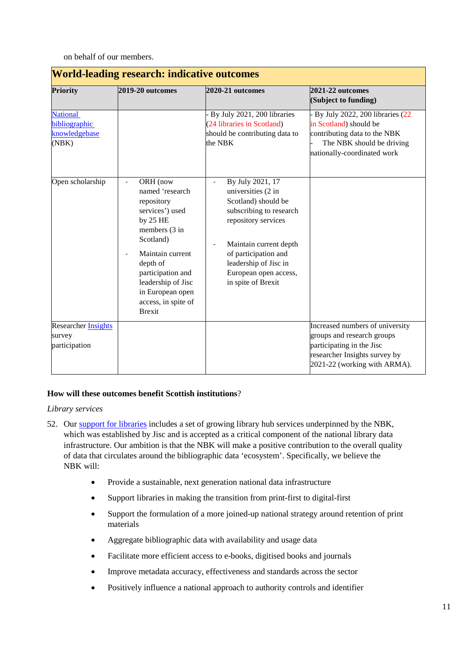on behalf of our members.

| <b>Priority</b>                                            | 2019-20 outcomes                                                                                                                                                                                                                                                            | 2020-21 outcomes                                                                                                                                                                                                                                                                        | 2021-22 outcomes<br>(Subject to funding)                                                                                                                    |
|------------------------------------------------------------|-----------------------------------------------------------------------------------------------------------------------------------------------------------------------------------------------------------------------------------------------------------------------------|-----------------------------------------------------------------------------------------------------------------------------------------------------------------------------------------------------------------------------------------------------------------------------------------|-------------------------------------------------------------------------------------------------------------------------------------------------------------|
| <b>National</b><br>bibliographic<br>knowledgebase<br>(NBK) |                                                                                                                                                                                                                                                                             | By July 2021, 200 libraries<br>(24 libraries in Scotland)<br>should be contributing data to<br>the NBK                                                                                                                                                                                  | By July 2022, 200 libraries (22<br>in Scotland) should be<br>contributing data to the NBK<br>The NBK should be driving<br>nationally-coordinated work       |
| Open scholarship                                           | ORH (now<br>$\overline{\phantom{a}}$<br>named 'research<br>repository<br>services') used<br>by $25$ HE<br>members (3 in<br>Scotland)<br>Maintain current<br>depth of<br>participation and<br>leadership of Jisc<br>in European open<br>access, in spite of<br><b>Brexit</b> | By July 2021, 17<br>$\blacksquare$<br>universities (2 in<br>Scotland) should be<br>subscribing to research<br>repository services<br>Maintain current depth<br>$\overline{\phantom{a}}$<br>of participation and<br>leadership of Jisc in<br>European open access,<br>in spite of Brexit |                                                                                                                                                             |
| Researcher <b>Insights</b><br>survey<br>participation      |                                                                                                                                                                                                                                                                             |                                                                                                                                                                                                                                                                                         | Increased numbers of university<br>groups and research groups<br>participating in the Jisc<br>researcher Insights survey by<br>2021-22 (working with ARMA). |

#### **How will these outcomes benefit Scottish institutions**?

*Library services*

- 52. Our [support for libraries](https://www.jisc.ac.uk/library-support) includes a set of growing library hub services underpinned by the NBK, which was established by Jisc and is accepted as a critical component of the national library data infrastructure. Our ambition is that the NBK will make a positive contribution to the overall quality of data that circulates around the bibliographic data 'ecosystem'. Specifically, we believe the NBK will:
	- Provide a sustainable, next generation national data infrastructure
	- Support libraries in making the transition from print-first to digital-first
	- Support the formulation of a more joined-up national strategy around retention of print materials
	- Aggregate bibliographic data with availability and usage data
	- Facilitate more efficient access to e-books, digitised books and journals
	- Improve metadata accuracy, effectiveness and standards across the sector
	- Positively influence a national approach to authority controls and identifier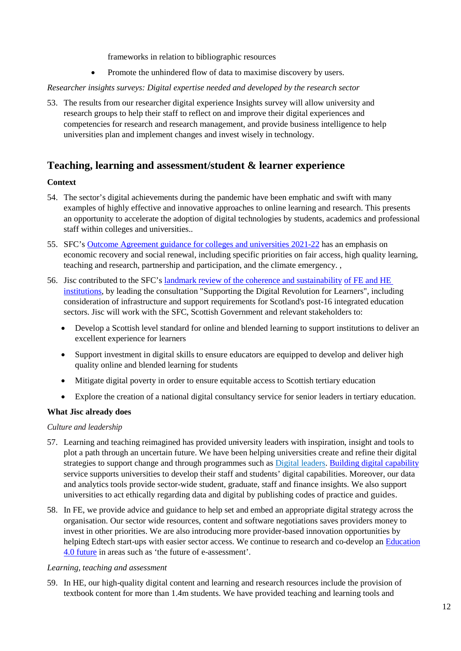frameworks in relation to bibliographic resources

• Promote the unhindered flow of data to maximise discovery by users.

#### *Researcher insights surveys: Digital expertise needed and developed by the research sector*

53. The results from our researcher digital experience Insights survey will allow university and research groups to help their staff to reflect on and improve their digital experiences and competencies for research and research management, and provide business intelligence to help universities plan and implement changes and invest wisely in technology.

### **Teaching, learning and assessment/student & learner experience**

#### **Context**

- 54. The sector's digital achievements during the pandemic have been emphatic and swift with many examples of highly effective and innovative approaches to online learning and research. This presents an opportunity to accelerate the adoption of digital technologies by students, academics and professional staff within colleges and universities..
- 55. SFC's [Outcome Agreement guidance for colleges and universities 2021-22](http://www.sfc.ac.uk/web/FILES/guidance_sfcgd222021/College_and_University_Outcome_Agreement_Guidance_2021-22.pdf) has an emphasis on economic recovery and social renewal, including specific priorities on fair access, high quality learning, teaching and research, partnership and participation, and the climate emergency. ,
- 56. Jisc contributed to the SFC's [landmark review of the coherence and sustainability](http://www.sfc.ac.uk/web/FILES/Review/Review_Briefing_Note_June_2020.pdf) of FE and HE [institutions,](http://www.sfc.ac.uk/web/FILES/Review/Review_Briefing_Note_June_2020.pdf) by leading the consultation "Supporting the Digital Revolution for Learners", including consideration of infrastructure and support requirements for Scotland's post-16 integrated education sectors. Jisc will work with the SFC, Scottish Government and relevant stakeholders to:
	- Develop a Scottish level standard for online and blended learning to support institutions to deliver an excellent experience for learners
	- Support investment in digital skills to ensure educators are equipped to develop and deliver high quality online and blended learning for students
	- Mitigate digital poverty in order to ensure equitable access to Scottish tertiary education
	- Explore the creation of a national digital consultancy service for senior leaders in tertiary education.

#### **What Jisc already does**

#### *Culture and leadership*

- 57. [Learning and teaching reimagined](https://www.jisc.ac.uk/learning-and-teaching-reimagined) has provided university leaders with inspiration, insight and tools to plot a path through an uncertain future. We have been helping universities create and refine their digital strategies to support change and through programmes such a[s Digital leaders.](https://www.jisc.ac.uk/training/digital-leaders-programme) [Building digital capability](https://www.jisc.ac.uk/rd/projects/building-digital-capability) service supports universities to develop their staff and students' digital capabilities. Moreover, our data and analytics tools provide sector-wide student, graduate, staff and finance insights. We also support universities to act ethically regarding data and digital by publishing codes of practice and guides.
- 58. In FE, we provide advice and guidance to help set and embed an appropriate digital strategy across the organisation. Our sector wide resources, content and software negotiations saves providers money to invest in other priorities. We are also introducing more provider-based innovation opportunities by helping Edtech start-ups with easier sector access. We continue to research and co-develop an [Education](https://www.jisc.ac.uk/education-4-0)  [4.0 future](https://www.jisc.ac.uk/education-4-0) in areas such as 'the future of e-assessment'.

#### *Learning, teaching and assessment*

59. In HE, our high-quality [digital content and learning and research resources](https://www.jisc.ac.uk/learning-and-research-resources) include the provision of textbook content for more than 1.4m students. We have provided teaching and learning tools and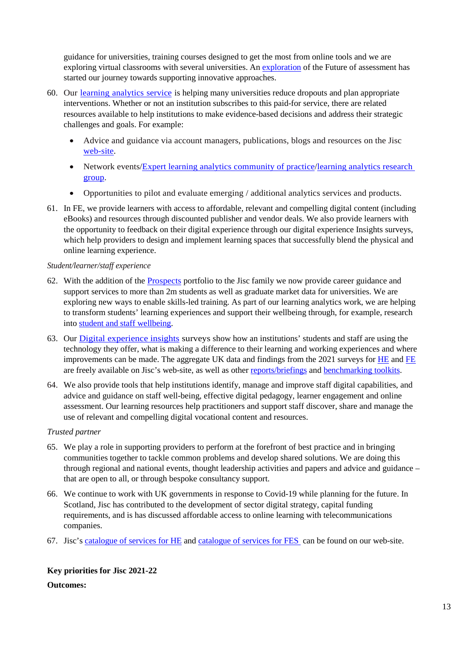guidance for universities, training courses designed to get the most from online tools and we are exploring virtual classrooms with several universities. An [exploration](https://www.jisc.ac.uk/reports/the-future-of-assessment) of the Future of assessment has started our journey towards supporting innovative approaches.

- 60. Our learning [analytics](https://www.jisc.ac.uk/learning-analytics) service is helping many universities reduce dropouts and plan appropriate interventions. Whether or not an institution subscribes to this paid-for service, there are related resources available to help institutions to make evidence-based decisions and address their strategic challenges and goals. For example:
	- Advice and guidance via account managers, publications, blogs and resources on the Jisc [web-site.](https://jisc365.sharepoint.com/sites/opsgov/foreporting/Shared%20Documents/SFC/AY21-22%20Outcome%20Agreement/Senior%20managers)
	- Network events[/Expert learning analytics community of practice/](https://www.jiscmail.ac.uk/cgi-bin/wa.exe?A0=ANALYTICS)learning analytics research [group.](https://www.jisc.ac.uk/events/learning-analytics-research-group-20-may-2020)
	- Opportunities to pilot and evaluate emerging / additional analytics services and products.
- 61. In FE, we provide learners with access to affordable, relevant and compelling digital content (including eBooks) and resources through discounted publisher and vendor deals. We also provide learners with the opportunity to feedback on their digital experience through our digital experience Insights surveys, which help providers to design and implement learning spaces that successfully blend the physical and online learning experience.

#### *Student/learner/staff experience*

- 62. With the addition of the **[Prospects](https://www.jisc.ac.uk/prospects)** portfolio to the Jisc family we now provide career guidance and support services to more than 2m students as well as graduate market data for universities. We are exploring new ways to enable skills-led training. As part of our learning analytics work, we are helping to transform students' learning experiences and support their wellbeing through, for example, research into [student and staff wellbeing.](https://www.jisc.ac.uk/reports/student-and-staff-wellbeing-in-higher-education)
- 63. Our [Digital experience insights](https://www.jisc.ac.uk/digital-experience-insights) surveys show how an institutions' students and staff are using the technology they offer, what is making a difference to their learning and working experiences and where improvements can be made. The aggregate UK data and findings from the 2021 surveys for [HE](https://repository.jisc.ac.uk/8318/1/DEI-P1-HE-student-briefing-2021-FINAL.pdf) and [FE](https://repository.jisc.ac.uk/8317/1/DEI-P1-FE%20student-briefing-2021-FINAL.pdf) are freely available on Jisc's web-site, as well as other [reports/briefings](https://digitalinsights.jisc.ac.uk/reports-and-briefings/our-reports/) and [benchmarking toolkits.](https://digitalinsights.jisc.ac.uk/reports-and-briefings/our-briefings-and-toolkits/)
- 64. We also provide tools that help institutions identify, manage and improve staff digital capabilities, and advice and guidance on staff well-being, effective digital pedagogy, learner engagement and online assessment. Our learning resources help practitioners and support staff discover, share and manage the use of relevant and compelling digital vocational content and resources.

#### *Trusted partner*

- 65. We play a role in supporting providers to perform at the forefront of best practice and in bringing communities together to tackle common problems and develop shared solutions. We are doing this through regional and national events, thought leadership activities and papers and advice and guidance – that are open to all, or through bespoke consultancy support.
- 66. We continue to work with UK governments in response to Covid-19 while planning for the future. In Scotland, Jisc has contributed to the development of sector digital strategy, capital funding requirements, and is has discussed affordable access to online learning with telecommunications companies.
- 67. Jisc's [catalogue of services for HE](https://www.jisc.ac.uk/membership/our-catalogue-of-services-for-higher-education) and [catalogue of services for FES](https://www.jisc.ac.uk/membership/our-catalogue-of-services-for-further-education) can be found on our web-site.

#### **Key priorities for Jisc 2021-22**

#### **Outcomes:**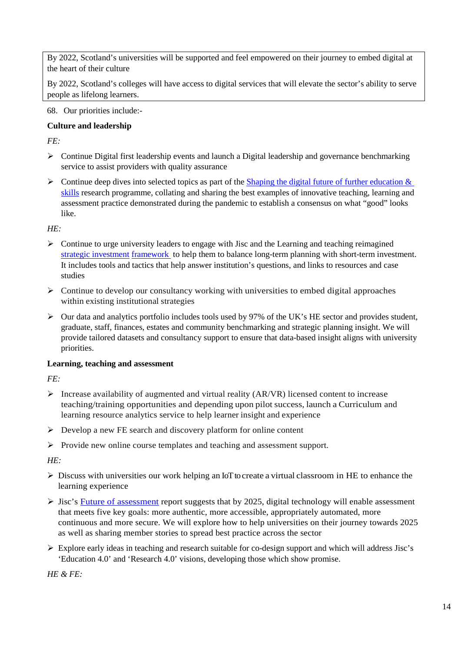By 2022, Scotland's universities will be supported and feel empowered on their journey to embed digital at the heart of their culture

By 2022, Scotland's colleges will have access to digital services that will elevate the sector's ability to serve people as lifelong learners.

68. Our priorities include:-

#### **Culture and leadership**

*FE:*

- $\triangleright$  Continue Digital first leadership events and launch a Digital leadership and governance benchmarking service to assist providers with quality assurance
- $\triangleright$  Continue deep dives into selected topics as part of the Shaping the digital future of further education & [skills](https://www.jisc.ac.uk/news/jisc-and-aoc-launch-plan-to-shape-digital-future-of-further-education-and-skills-09-jun-2020) research programme, collating and sharing the best examples of innovative teaching, learning and assessment practice demonstrated during the pandemic to establish a consensus on what "good" looks like.

*HE:*

- $\triangleright$  Continue to urge university leaders to engage with Jisc and the Learning and teaching reimagined [strategic investment](https://www.jisc.ac.uk/guides/digital-strategy-framework-for-university-leaders) [framework](https://www.jisc.ac.uk/guides/digital-strategy-framework-for-university-leaders) to help them to balance long-term planning with short-term investment. It includes tools and tactics that help answer institution's questions, and links to resources and case studies
- $\triangleright$  Continue to develop our consultancy working with universities to embed digital approaches within existing institutional strategies
- $\triangleright$  Our data and analytics portfolio includes [tools](https://www.jisc.ac.uk/data-and-analytics) used by 97% of the UK's HE sector and provides student, graduate, staff, finances, estates and community benchmarking and strategic planning insight. We will provide tailored datasets and consultancy support to ensure that data-based insight aligns with university priorities.

#### **Learning, teaching and assessment**

*FE:*

- Increase availability of augmented and virtual reality  $(AR/VR)$  licensed content to increase teaching/training opportunities and depending upon pilot success, launch a Curriculum and learning resource analytics service to help learner insight and experience
- Develop a new FE search and discovery platform for online content
- Provide new online course templates and teaching and assessment support.

*HE:*

- $\triangleright$  Discuss with universities our work helping an IoT to create a virtual [classroom](https://www.jisc.ac.uk/news/weston-college-launches-uks-first-virtual-classroom-for-further-education-12-oct-2020) in HE to enhance the learning experience
- $\triangleright$  Jisc's [Future of assessment](https://www.jisc.ac.uk/reports/the-future-of-assessment) report suggests that by 2025, digital technology will enable assessment that meets five key goals: more authentic, more accessible, appropriately automated, more continuous and more secure. We will explore how to help universities on their journey towards 2025 as well as sharing member stories to spread best practice across the sector
- $\triangleright$  Explore early ideas in teaching and research suitable for co-design support and which will address Jisc's 'Education 4.0' and 'Research 4.0' visions, developing those which show promise.

*HE & FE:*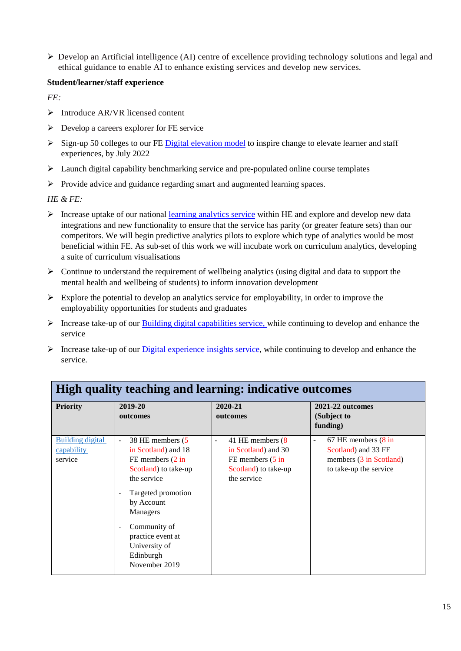Develop an Artificial intelligence (AI) centre of excellence providing technology solutions and legal and ethical guidance to enable AI to enhance existing services and develop new services.

#### **Student/learner/staff experience**

*FE:* 

- $\triangleright$  Introduce AR/VR licensed content
- $\triangleright$  Develop a careers explorer for FE service
- $\triangleright$  Sign-up 50 colleges to our FE [Digital elevation model](https://www.ukauthority.com/articles/jisc-unveils-digital-elevation-model-for-further-education/) to inspire change to elevate learner and staff experiences, by July 2022
- $\triangleright$  Launch digital capability benchmarking service and pre-populated online course templates
- $\triangleright$  Provide advice and guidance regarding smart and augmented learning spaces.

*HE & FE:*

- Increase uptake of our national [learning analytics service](https://www.jisc.ac.uk/learning-analytics) within HE and explore and develop new data integrations and new functionality to ensure that the service has parity (or greater feature sets) than our competitors. We will begin predictive analytics pilots to explore which type of analytics would be most beneficial within FE. As sub-set of this work we will incubate work on curriculum analytics, developing a suite of curriculum visualisations
- $\triangleright$  Continue to understand the requirement of wellbeing analytics (using digital and data to support the mental health and wellbeing of students) to inform innovation development
- $\triangleright$  Explore the potential to develop an analytics service for employability, in order to improve the employability opportunities for students and graduates
- $\triangleright$  Increase take-up of our **Building digital capabilities service**, while continuing to develop and enhance the service
- $\triangleright$  Increase take-up of our [Digital experience insights service,](https://www.jisc.ac.uk/digital-experience-insights) while continuing to develop and enhance the service.

| <b>High quality teaching and learning: indicative outcomes</b> |                                                                                                                                                                                                                                                                                           |                                                                                                               |                                                                                                 |  |
|----------------------------------------------------------------|-------------------------------------------------------------------------------------------------------------------------------------------------------------------------------------------------------------------------------------------------------------------------------------------|---------------------------------------------------------------------------------------------------------------|-------------------------------------------------------------------------------------------------|--|
| <b>Priority</b>                                                | 2019-20<br>outcomes                                                                                                                                                                                                                                                                       | 2020-21<br>outcomes                                                                                           | 2021-22 outcomes<br>(Subject to<br>funding)                                                     |  |
| <b>Building digital</b><br>capability<br>service               | 38 HE members (5<br>in Scotland) and 18<br>FE members $(2 \text{ in})$<br>Scotland) to take-up<br>the service<br>Targeted promotion<br>٠<br>by Account<br><b>Managers</b><br>Community of<br>$\overline{\phantom{a}}$<br>practice event at<br>University of<br>Edinburgh<br>November 2019 | 41 HE members (8)<br>in Scotland) and 30<br>FE members $(5 \text{ in}$<br>Scotland) to take-up<br>the service | 67 HE members (8 in<br>Scotland) and 33 FE<br>members (3 in Scotland)<br>to take-up the service |  |

## **High quality teaching and learning: indicative outcomes**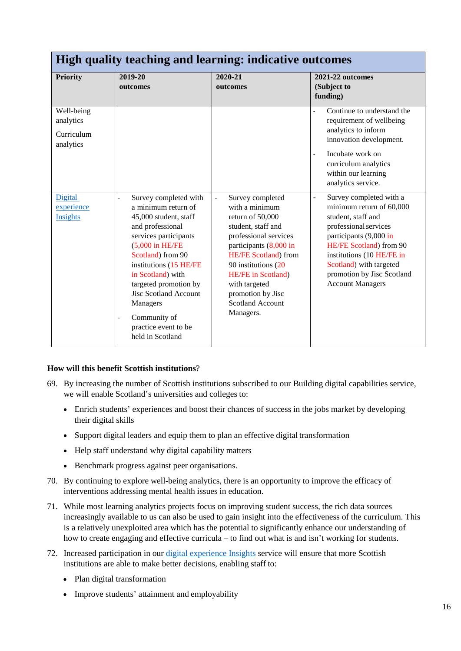| High quality teaching and learning: indicative outcomes |                                                                                                                                                                                                                                                                                                                                                                                           |                                                                                                                                                                                                                                                                                           |                                                                                                                                                                                                                                                                                |  |
|---------------------------------------------------------|-------------------------------------------------------------------------------------------------------------------------------------------------------------------------------------------------------------------------------------------------------------------------------------------------------------------------------------------------------------------------------------------|-------------------------------------------------------------------------------------------------------------------------------------------------------------------------------------------------------------------------------------------------------------------------------------------|--------------------------------------------------------------------------------------------------------------------------------------------------------------------------------------------------------------------------------------------------------------------------------|--|
| <b>Priority</b>                                         | 2019-20<br>outcomes                                                                                                                                                                                                                                                                                                                                                                       | 2020-21<br>outcomes                                                                                                                                                                                                                                                                       | 2021-22 outcomes<br>(Subject to<br>funding)                                                                                                                                                                                                                                    |  |
| Well-being<br>analytics<br>Curriculum<br>analytics      |                                                                                                                                                                                                                                                                                                                                                                                           |                                                                                                                                                                                                                                                                                           | Continue to understand the<br>requirement of wellbeing<br>analytics to inform<br>innovation development.<br>Incubate work on<br>curriculum analytics<br>within our learning<br>analytics service.                                                                              |  |
| Digital<br>experience<br>Insights                       | Survey completed with<br>$\overline{a}$<br>a minimum return of<br>45,000 student, staff<br>and professional<br>services participants<br>$(5,000 \text{ in HE/FE})$<br>Scotland) from 90<br>institutions (15 HE/FE<br>in Scotland) with<br>targeted promotion by<br><b>Jisc Scotland Account</b><br>Managers<br>Community of<br>$\overline{a}$<br>practice event to be<br>held in Scotland | Survey completed<br>with a minimum<br>return of 50,000<br>student, staff and<br>professional services<br>participants (8,000 in<br>HE/FE Scotland) from<br>90 institutions (20<br><b>HE/FE</b> in Scotland)<br>with targeted<br>promotion by Jisc<br><b>Scotland Account</b><br>Managers. | Survey completed with a<br>÷,<br>minimum return of 60,000<br>student, staff and<br>professional services<br>participants (9,000 in<br>HE/FE Scotland) from 90<br>institutions (10 HE/FE in<br>Scotland) with targeted<br>promotion by Jisc Scotland<br><b>Account Managers</b> |  |

#### **How will this benefit Scottish institutions**?

- 69. By increasing the number of Scottish institutions subscribed to our Building digital capabilities service, we will enable Scotland's universities and colleges to:
	- Enrich students' experiences and boost their chances of success in the jobs market by developing their digital skills
	- Support digital leaders and equip them to plan an effective digital transformation
	- Help staff understand why digital capability matters
	- Benchmark progress against peer organisations.
- 70. By continuing to explore well-being analytics, there is an opportunity to improve the efficacy of interventions addressing mental health issues in education.
- 71. While most learning analytics projects focus on improving student success, the rich data sources increasingly available to us can also be used to gain insight into the effectiveness of the curriculum. This is a relatively unexploited area which has the potential to significantly enhance our understanding of how to create engaging and effective curricula – to find out what is and isn't working for students.
- 72. Increased participation in our [digital experience Insights](https://www.jisc.ac.uk/digital-experience-insights) service will ensure that more Scottish institutions are able to make better decisions, enabling staff to:
	- Plan digital transformation
	- Improve students' attainment and employability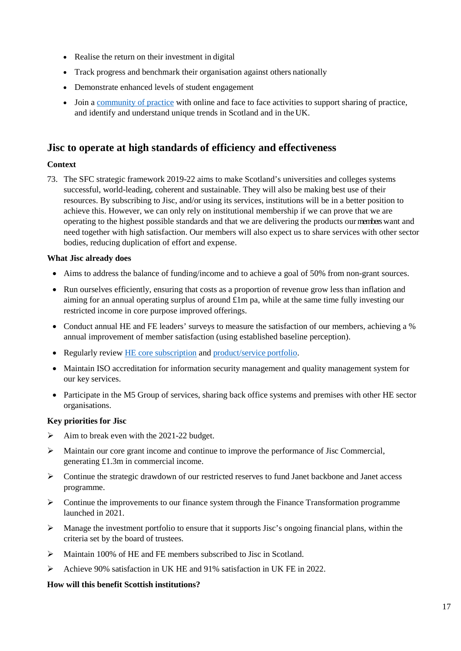- Realise the return on their investment in digital
- Track progress and benchmark their organisation against others nationally
- Demonstrate enhanced levels of student engagement
- Join a [community of practice](https://www.jisc.ac.uk/rd/get-involved/learning-and-teaching-experts-group) with online and face to face activities to support sharing of practice, and identify and understand unique trends in Scotland and in the UK.

### **Jisc to operate at high standards of efficiency and effectiveness**

#### **Context**

73. The SFC strategic framework 2019-22 aims to make Scotland's universities and colleges systems successful, world-leading, coherent and sustainable. They will also be making best use of their resources. By subscribing to Jisc, and/or using its services, institutions will be in a better position to achieve this. However, we can only rely on institutional membership if we can prove that we are operating to the highest possible standards and that we are delivering the products ourmemberswant and need together with high satisfaction. Our members will also expect us to share services with other sector bodies, reducing duplication of effort and expense.

#### **What Jisc already does**

- Aims to address the balance of funding/income and to achieve a goal of 50% from non-grant sources.
- Run ourselves efficiently, ensuring that costs as a proportion of revenue grow less than inflation and aiming for an annual operating surplus of around £1m pa, while at the same time fully investing our restricted income in core purpose improved offerings.
- Conduct annual HE and FE leaders' surveys to measure the satisfaction of our members, achieving a % annual improvement of member satisfaction (using established baseline perception).
- Regularly review [HE core subscription](https://www.jisc.ac.uk/membership/higher-education-subscription) and [product/service](https://www.jisc.ac.uk/membership/our-catalogue-of-services-for-higher-education) portfolio.
- Maintain ISO accreditation for information security management and quality management system for our key services.
- Participate in the M5 Group of services, sharing back office systems and premises with other HE sector organisations.

#### **Key priorities for Jisc**

- $\blacktriangleright$  Aim to break even with the 2021-22 budget.
- $\triangleright$  Maintain our core grant income and continue to improve the performance of Jisc Commercial, generating £1.3m in commercial income.
- $\triangleright$  Continue the strategic drawdown of our restricted reserves to fund Janet backbone and Janet access programme.
- $\triangleright$  Continue the improvements to our finance system through the Finance Transformation programme launched in 2021.
- Manage the investment portfolio to ensure that it supports Jisc's ongoing financial plans, within the criteria set by the board of trustees.
- Maintain 100% of HE and FE members subscribed to Jisc in Scotland.
- Achieve 90% satisfaction in UK HE and 91% satisfaction in UK FE in 2022.

#### **How will this benefit Scottish institutions?**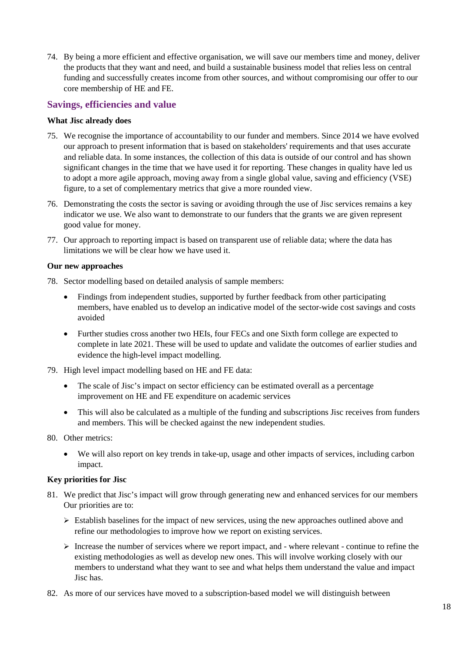74. By being a more efficient and effective organisation, we will save our members time and money, deliver the products that they want and need, and build a sustainable business model that relies less on central funding and successfully creates income from other sources, and without compromising our offer to our core membership of HE and FE.

#### **Savings, efficiencies and value**

#### **What Jisc already does**

- 75. We recognise the importance of accountability to our funder and members. Since 2014 we have evolved our approach to present information that is based on stakeholders' requirements and that uses accurate and reliable data. In some instances, the collection of this data is outside of our control and has shown significant changes in the time that we have used it for reporting. These changes in quality have led us to adopt a more agile approach, moving away from a single global value, saving and efficiency (VSE) figure, to a set of complementary metrics that give a more rounded view.
- 76. Demonstrating the costs the sector is saving or avoiding through the use of Jisc services remains a key indicator we use. We also want to demonstrate to our funders that the grants we are given represent good value for money.
- 77. Our approach to reporting impact is based on transparent use of reliable data; where the data has limitations we will be clear how we have used it.

#### **Our new approaches**

- 78. Sector modelling based on detailed analysis of sample members:
	- Findings from independent studies, supported by further feedback from other participating members, have enabled us to develop an indicative model of the sector-wide cost savings and costs avoided
	- Further studies cross another two HEIs, four FECs and one Sixth form college are expected to complete in late 2021. These will be used to update and validate the outcomes of earlier studies and evidence the high-level impact modelling.
- 79. High level impact modelling based on HE and FE data:
	- The scale of Jisc's impact on sector efficiency can be estimated overall as a percentage improvement on HE and FE expenditure on academic services
	- This will also be calculated as a multiple of the funding and subscriptions Jisc receives from funders and members. This will be checked against the new independent studies.
- 80. Other metrics:
	- We will also report on key trends in take-up, usage and other impacts of services, including carbon impact.

#### **Key priorities for Jisc**

- 81. We predict that Jisc's impact will grow through generating new and enhanced services for our members Our priorities are to:
	- $\triangleright$  Establish baselines for the impact of new services, using the new approaches outlined above and refine our methodologies to improve how we report on existing services.
	- $\triangleright$  Increase the number of services where we report impact, and where relevant continue to refine the existing methodologies as well as develop new ones. This will involve working closely with our members to understand what they want to see and what helps them understand the value and impact Jisc has.
- 82. As more of our services have moved to a subscription-based model we will distinguish between